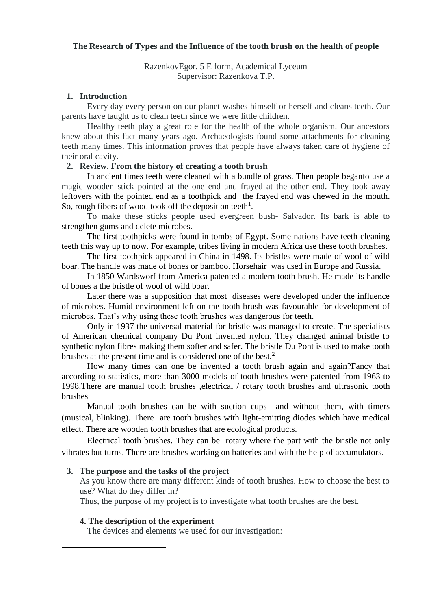### **The Research of Types and the Influence of the tooth brush on the health of people**

RazenkovEgor, 5 E form, Academical Lyceum Supervisor: Razenkova T.P.

#### **1. Introduction**

Every day every person on our planet washes himself or herself and cleans teeth. Our parents have taught us to clean teeth since we were little children.

Healthy teeth play a great role for the health of the whole organism. Our ancestors knew about this fact many years ago. Archaeologists found some attachments for cleaning teeth many times. This information proves that people have always taken care of hygiene of their oral cavity.

#### **2. Review. From the history of creating a tooth brush**

In ancient times teeth were cleaned with a bundle of grass. Then people beganto use a magic wooden stick pointed at the one end and frayed at the other end. They took away leftovers with the pointed end as a toothpick and the frayed end was chewed in the mouth. So, rough fibers of wood took off the deposit on teeth<sup>1</sup>.

To make these sticks people used evergreen bush- Salvador. Its bark is able to strengthen gums and delete microbes.

The first toothpicks were found in tombs of Egypt. Some nations have teeth cleaning teeth this way up to now. For example, tribes living in modern Africa use these tooth brushes.

The first toothpick appeared in China in 1498. Its bristles were made of wool of wild boar. The handle was made of bones or bamboo. Horsehair was used in Europe and Russia.

In 1850 Wardsworf from America patented a modern tooth brush. He made its handle of bones a the bristle of wool of wild boar.

Later there was a supposition that most diseases were developed under the influence of microbes. Humid environment left on the tooth brush was favourable for development of microbes. That's why using these tooth brushes was dangerous for teeth.

Only in 1937 the universal material for bristle was managed to create. The specialists of American chemical company Du Pont invented nylon. They changed animal bristle to synthetic nylon fibres making them softer and safer. The bristle Du Pont is used to make tooth brushes at the present time and is considered one of the best. $<sup>2</sup>$ </sup>

How many times can one be invented a tooth brush again and again?Fancy that according to statistics, more than 3000 models of tooth brushes were patented from 1963 to 1998.There are manual tooth brushes ,electrical / rotary tooth brushes and ultrasonic tooth brushes

Manual tooth brushes can be with suction cups and without them, with timers (musical, blinking). There are tooth brushes with light-emitting diodes which have medical effect. There are wooden tooth brushes that are ecological products.

Electrical tooth brushes. They can be rotary where the part with the bristle not only vibrates but turns. There are brushes working on batteries and with the help of accumulators.

#### **3. The purpose and the tasks of the project**

As you know there are many different kinds of tooth brushes. How to choose the best to use? What do they differ in?

Thus, the purpose of my project is to investigate what tooth brushes are the best.

#### **4. The description of the experiment**

**.** 

The devices and elements we used for our investigation: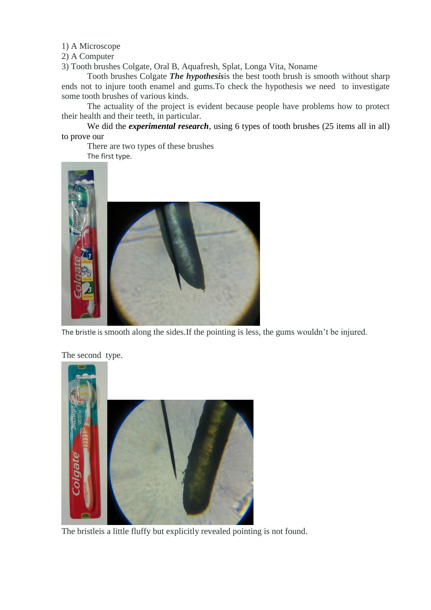1) A Microscope

2) A Computer

3) Tooth brushes Colgate, Oral B, Aquafresh, Splat, Longa Vita, Noname

Tooth brushes Colgate *The hypothesis*is the best tooth brush is smooth without sharp ends not to injure tooth enamel and gums.To check the hypothesis we need to investigate some tooth brushes of various kinds.

The actuality of the project is evident because people have problems how to protect their health and their teeth, in particular.

We did the *experimental research*, using 6 types of tooth brushes (25 items all in all) to prove our

There are two types of these brushes The first type.



The bristle is smooth along the sides.If the pointing is less, the gums wouldn't be injured.



The second type.

The bristleis a little fluffy but explicitly revealed pointing is not found.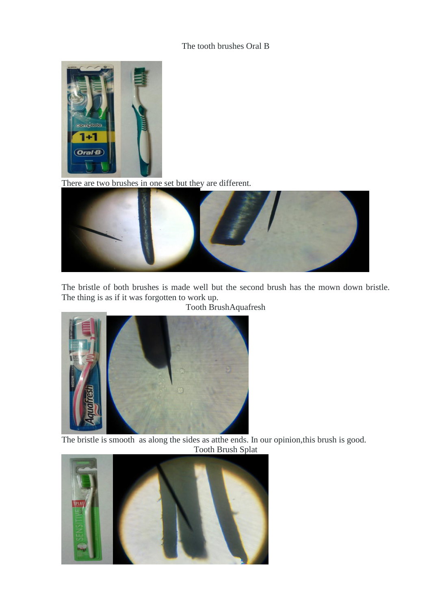# The tooth brushes Oral B



There are two brushes in one set but they are different.



The bristle of both brushes is made well but the second brush has the mown down bristle. The thing is as if it was forgotten to work up.



Tooth BrushAquafresh

The bristle is smooth as along the sides as atthe ends. In our opinion,this brush is good. Tooth Brush Splat

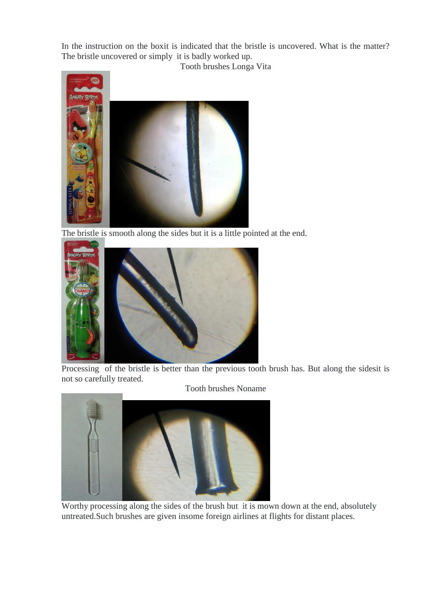In the instruction on the boxit is indicated that the bristle is uncovered. What is the matter? The bristle uncovered or simply it is badly worked up.

Tooth brushes Longa Vita



The bristle is smooth along the sides but it is a little pointed at the end.



Processing of the bristle is better than the previous tooth brush has. But along the sidesit is not so carefully treated.



Worthy processing along the sides of the brush but it is mown down at the end, absolutely untreated.Such brushes are given insome foreign airlines at flights for distant places.

Tooth brushes Noname